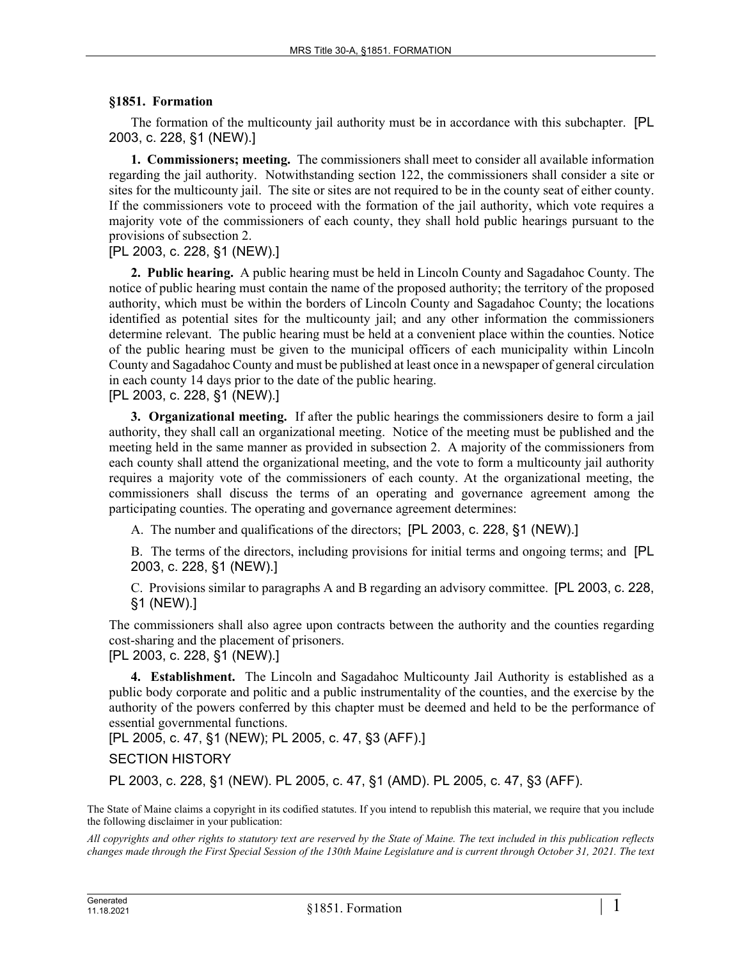## **§1851. Formation**

The formation of the multicounty jail authority must be in accordance with this subchapter. [PL 2003, c. 228, §1 (NEW).]

**1. Commissioners; meeting.** The commissioners shall meet to consider all available information regarding the jail authority. Notwithstanding section 122, the commissioners shall consider a site or sites for the multicounty jail. The site or sites are not required to be in the county seat of either county. If the commissioners vote to proceed with the formation of the jail authority, which vote requires a majority vote of the commissioners of each county, they shall hold public hearings pursuant to the provisions of subsection 2.

## [PL 2003, c. 228, §1 (NEW).]

**2. Public hearing.** A public hearing must be held in Lincoln County and Sagadahoc County. The notice of public hearing must contain the name of the proposed authority; the territory of the proposed authority, which must be within the borders of Lincoln County and Sagadahoc County; the locations identified as potential sites for the multicounty jail; and any other information the commissioners determine relevant. The public hearing must be held at a convenient place within the counties. Notice of the public hearing must be given to the municipal officers of each municipality within Lincoln County and Sagadahoc County and must be published at least once in a newspaper of general circulation in each county 14 days prior to the date of the public hearing.

## [PL 2003, c. 228, §1 (NEW).]

**3. Organizational meeting.** If after the public hearings the commissioners desire to form a jail authority, they shall call an organizational meeting. Notice of the meeting must be published and the meeting held in the same manner as provided in subsection 2. A majority of the commissioners from each county shall attend the organizational meeting, and the vote to form a multicounty jail authority requires a majority vote of the commissioners of each county. At the organizational meeting, the commissioners shall discuss the terms of an operating and governance agreement among the participating counties. The operating and governance agreement determines:

A. The number and qualifications of the directors; [PL 2003, c. 228, §1 (NEW).]

B. The terms of the directors, including provisions for initial terms and ongoing terms; and [PL 2003, c. 228, §1 (NEW).]

C. Provisions similar to paragraphs A and B regarding an advisory committee. [PL 2003, c. 228, §1 (NEW).]

The commissioners shall also agree upon contracts between the authority and the counties regarding cost-sharing and the placement of prisoners.

[PL 2003, c. 228, §1 (NEW).]

**4. Establishment.** The Lincoln and Sagadahoc Multicounty Jail Authority is established as a public body corporate and politic and a public instrumentality of the counties, and the exercise by the authority of the powers conferred by this chapter must be deemed and held to be the performance of essential governmental functions.

[PL 2005, c. 47, §1 (NEW); PL 2005, c. 47, §3 (AFF).]

## SECTION HISTORY

PL 2003, c. 228, §1 (NEW). PL 2005, c. 47, §1 (AMD). PL 2005, c. 47, §3 (AFF).

The State of Maine claims a copyright in its codified statutes. If you intend to republish this material, we require that you include the following disclaimer in your publication:

*All copyrights and other rights to statutory text are reserved by the State of Maine. The text included in this publication reflects changes made through the First Special Session of the 130th Maine Legislature and is current through October 31, 2021. The text*